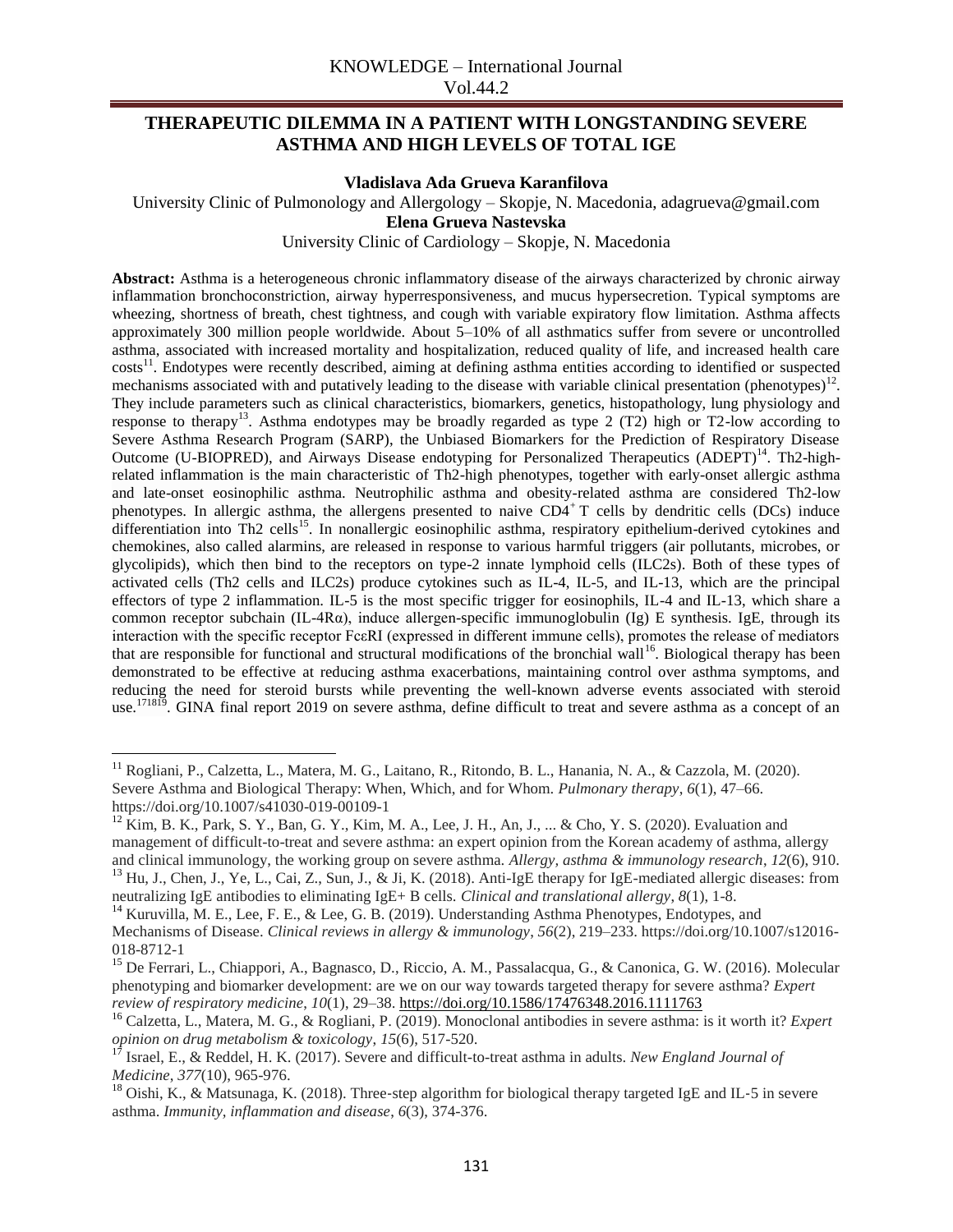# **THERAPEUTIC DILEMMA IN A PATIENT WITH LONGSTANDING SEVERE ASTHMA AND HIGH LEVELS OF TOTAL IGE**

**Vladislava Ada Grueva Karanfilova**

University Clinic of Pulmonology and Allergology – Skopje, N. Macedonia, adagrueva@gmail.com

**Elena Grueva Nastevska**

University Clinic of Cardiology – Skopje, N. Macedonia

**Abstract:** Asthma is a heterogeneous chronic inflammatory disease of the airways characterized by chronic airway inflammation bronchoconstriction, airway hyperresponsiveness, and mucus hypersecretion. Typical symptoms are wheezing, shortness of breath, chest tightness, and cough with variable expiratory flow limitation. Asthma affects approximately 300 million people worldwide. About 5–10% of all asthmatics suffer from severe or uncontrolled asthma, associated with increased mortality and hospitalization, reduced quality of life, and increased health care costs<sup>11</sup>. Endotypes were recently described, aiming at defining asthma entities according to identified or suspected mechanisms associated with and putatively leading to the disease with variable clinical presentation (phenotypes) $12$ . They include parameters such as clinical characteristics, biomarkers, genetics, histopathology, lung physiology and response to therapy<sup>13</sup>. Asthma endotypes may be broadly regarded as type 2 (T2) high or T2-low according to Severe Asthma Research Program (SARP), the Unbiased Biomarkers for the Prediction of Respiratory Disease Outcome (U-BIOPRED), and Airways Disease endotyping for Personalized Therapeutics (ADEPT)<sup>14</sup>. Th2-highrelated inflammation is the main characteristic of Th2-high phenotypes, together with early-onset allergic asthma and late-onset eosinophilic asthma. Neutrophilic asthma and obesity-related asthma are considered Th2-low phenotypes. In allergic asthma, the allergens presented to naive  $CD4^+T$  cells by dendritic cells (DCs) induce differentiation into Th2 cells<sup>15</sup>. In nonallergic eosinophilic asthma, respiratory epithelium-derived cytokines and chemokines, also called alarmins, are released in response to various harmful triggers (air pollutants, microbes, or glycolipids), which then bind to the receptors on type-2 innate lymphoid cells (ILC2s). Both of these types of activated cells (Th2 cells and ILC2s) produce cytokines such as IL-4, IL-5, and IL-13, which are the principal effectors of type 2 inflammation. IL-5 is the most specific trigger for eosinophils, IL-4 and IL-13, which share a common receptor subchain (IL-4Rα), induce allergen-specific immunoglobulin (Ig) E synthesis. IgE, through its interaction with the specific receptor FcεRI (expressed in different immune cells), promotes the release of mediators that are responsible for functional and structural modifications of the bronchial wall<sup>16</sup>. Biological therapy has been demonstrated to be effective at reducing asthma exacerbations, maintaining control over asthma symptoms, and reducing the need for steroid bursts while preventing the well-known adverse events associated with steroid use.<sup>171819</sup>. GINA final report 2019 on severe asthma, define difficult to treat and severe asthma as a concept of an

 $\overline{\phantom{a}}$ 

<sup>&</sup>lt;sup>11</sup> Rogliani, P., Calzetta, L., Matera, M. G., Laitano, R., Ritondo, B. L., Hanania, N. A., & Cazzola, M. (2020). Severe Asthma and Biological Therapy: When, Which, and for Whom. *Pulmonary therapy*, *6*(1), 47–66. https://doi.org/10.1007/s41030-019-00109-1

 $12$  Kim, B. K., Park, S. Y., Ban, G. Y., Kim, M. A., Lee, J. H., An, J., ... & Cho, Y. S. (2020). Evaluation and management of difficult-to-treat and severe asthma: an expert opinion from the Korean academy of asthma, allergy and clinical immunology, the working group on severe asthma. *Allergy, asthma & immunology research*, *12*(6), 910. <sup>13</sup> Hu, J., Chen, J., Ye, L., Cai, Z., Sun, J., & Ji, K. (2018). Anti-IgE therapy for IgE-mediated allergic diseases: from neutralizing IgE antibodies to eliminating IgE+ B cells. *Clinical and translational allergy*, *8*(1), 1-8.

<sup>&</sup>lt;sup>14</sup> Kuruvilla, M. E., Lee, F. E., & Lee, G. B. (2019). Understanding Asthma Phenotypes, Endotypes, and Mechanisms of Disease. *Clinical reviews in allergy & immunology*, *56*(2), 219–233. https://doi.org/10.1007/s12016- 018-8712-1

<sup>&</sup>lt;sup>15</sup> De Ferrari, L., Chiappori, A., Bagnasco, D., Riccio, A. M., Passalacqua, G., & Canonica, G. W. (2016). Molecular phenotyping and biomarker development: are we on our way towards targeted therapy for severe asthma? *Expert review of respiratory medicine*, *10*(1), 29–38[. https://doi.org/10.1586/17476348.2016.1111763](https://doi.org/10.1586/17476348.2016.1111763)

<sup>16</sup> Calzetta, L., Matera, M. G., & Rogliani, P. (2019). Monoclonal antibodies in severe asthma: is it worth it? *Expert opinion on drug metabolism & toxicology*, *15*(6), 517-520.

<sup>17</sup> Israel, E., & Reddel, H. K. (2017). Severe and difficult-to-treat asthma in adults. *New England Journal of Medicine*, *377*(10), 965-976.

<sup>&</sup>lt;sup>18</sup> Oishi, K., & Matsunaga, K. (2018). Three-step algorithm for biological therapy targeted IgE and IL-5 in severe asthma. *Immunity, inflammation and disease*, *6*(3), 374-376.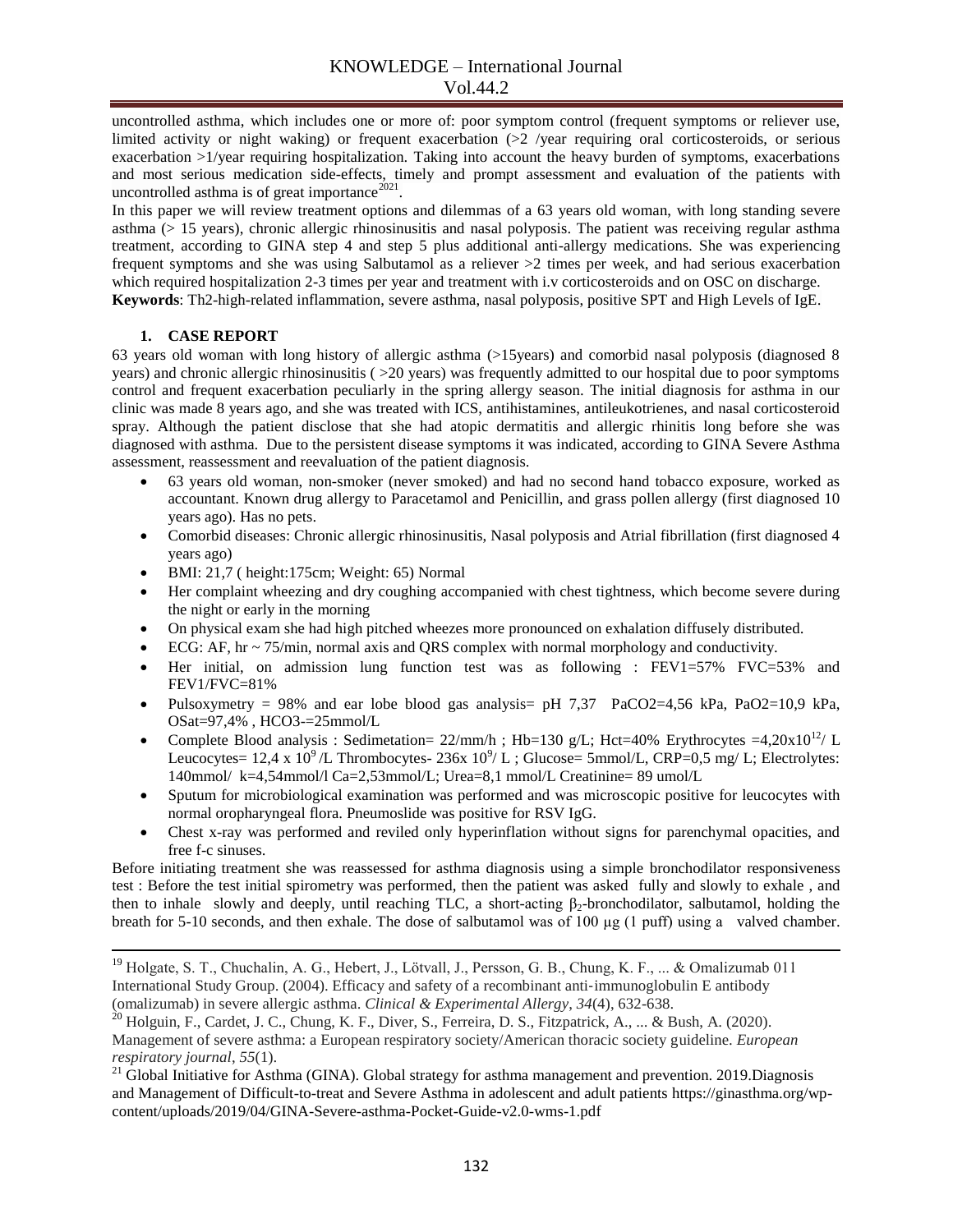uncontrolled asthma, which includes one or more of: poor symptom control (frequent symptoms or reliever use, limited activity or night waking) or frequent exacerbation (>2 /year requiring oral corticosteroids, or serious exacerbation >1/year requiring hospitalization. Taking into account the heavy burden of symptoms, exacerbations and most serious medication side-effects, timely and prompt assessment and evaluation of the patients with uncontrolled asthma is of great importance $^{2021}$ .

In this paper we will review treatment options and dilemmas of a 63 years old woman, with long standing severe asthma (> 15 years), chronic allergic rhinosinusitis and nasal polyposis. The patient was receiving regular asthma treatment, according to GINA step 4 and step 5 plus additional anti-allergy medications. She was experiencing frequent symptoms and she was using Salbutamol as a reliever >2 times per week, and had serious exacerbation which required hospitalization 2-3 times per year and treatment with i.v corticosteroids and on OSC on discharge. **Keywords**: Th2-high-related inflammation, severe asthma, nasal polyposis, positive SPT and High Levels of IgE.

### **1. CASE REPORT**

 $\overline{\phantom{a}}$ 

63 years old woman with long history of allergic asthma (>15years) and comorbid nasal polyposis (diagnosed 8 years) and chronic allergic rhinosinusitis ( >20 years) was frequently admitted to our hospital due to poor symptoms control and frequent exacerbation peculiarly in the spring allergy season. The initial diagnosis for asthma in our clinic was made 8 years ago, and she was treated with ICS, antihistamines, antileukotrienes, and nasal corticosteroid spray. Although the patient disclose that she had atopic dermatitis and allergic rhinitis long before she was diagnosed with asthma. Due to the persistent disease symptoms it was indicated, according to GINA Severe Asthma assessment, reassessment and reevaluation of the patient diagnosis.

- 63 years old woman, non-smoker (never smoked) and had no second hand tobacco exposure, worked as accountant. Known drug allergy to Paracetamol and Penicillin, and grass pollen allergy (first diagnosed 10 years ago). Has no pets.
- Comorbid diseases: Chronic allergic rhinosinusitis, Nasal polyposis and Atrial fibrillation (first diagnosed 4 years ago)
- BMI: 21,7 ( height:175cm; Weight: 65) Normal
- Her complaint wheezing and dry coughing accompanied with chest tightness, which become severe during the night or early in the morning
- On physical exam she had high pitched wheezes more pronounced on exhalation diffusely distributed.
- ECG: AF,  $hr \sim 75/min$ , normal axis and QRS complex with normal morphology and conductivity.
- Her initial, on admission lung function test was as following : FEV1=57% FVC=53% and FEV1/FVC=81%
- Pulsoxymetry = 98% and ear lobe blood gas analysis =  $pH$  7,37 PaCO2 = 4,56 kPa, PaO2 = 10,9 kPa, OSat=97,4% , HCO3-=25mmol/L
- Complete Blood analysis : Sedimetation=  $22/\text{mm/h}$  ; Hb=130 g/L; Hct=40% Erythrocytes =4,20x10<sup>12</sup>/ L Leucocytes=  $12.4 \times 10^9$ /L Thrombocytes-  $236 \times 10^9$ /L; Glucose= 5mmol/L, CRP=0,5 mg/L; Electrolytes: 140mmol/ k=4,54mmol/l Ca=2,53mmol/L; Urea=8,1 mmol/L Creatinine= 89 umol/L
- Sputum for microbiological examination was performed and was microscopic positive for leucocytes with normal oropharyngeal flora. Pneumoslide was positive for RSV IgG.
- Chest x-ray was performed and reviled only hyperinflation without signs for parenchymal opacities, and free f-c sinuses.

Before initiating treatment she was reassessed for asthma diagnosis using a simple bronchodilator responsiveness test : Before the test initial spirometry was performed, then the patient was asked fully and slowly to exhale , and then to inhale slowly and deeply, until reaching TLC, a short-acting  $\beta_2$ -bronchodilator, salbutamol, holding the breath for 5-10 seconds, and then exhale. The dose of salbutamol was of 100 µg (1 puff) using a valved chamber.

<sup>&</sup>lt;sup>19</sup> Holgate, S. T., Chuchalin, A. G., Hebert, J., Lötvall, J., Persson, G. B., Chung, K. F., ... & Omalizumab 011 International Study Group. (2004). Efficacy and safety of a recombinant anti‐immunoglobulin E antibody (omalizumab) in severe allergic asthma. *Clinical & Experimental Allergy*, *34*(4), 632-638.

 $^{20}$  Holguin, F., Cardet, J. C., Chung, K. F., Diver, S., Ferreira, D. S., Fitzpatrick, A., ... & Bush, A. (2020). Management of severe asthma: a European respiratory society/American thoracic society guideline. *European respiratory journal*, *55*(1).

<sup>&</sup>lt;sup>21</sup> Global Initiative for Asthma (GINA). Global strategy for asthma management and prevention. 2019.Diagnosis and Management of Difficult-to-treat and Severe Asthma in adolescent and adult patients https://ginasthma.org/wpcontent/uploads/2019/04/GINA-Severe-asthma-Pocket-Guide-v2.0-wms-1.pdf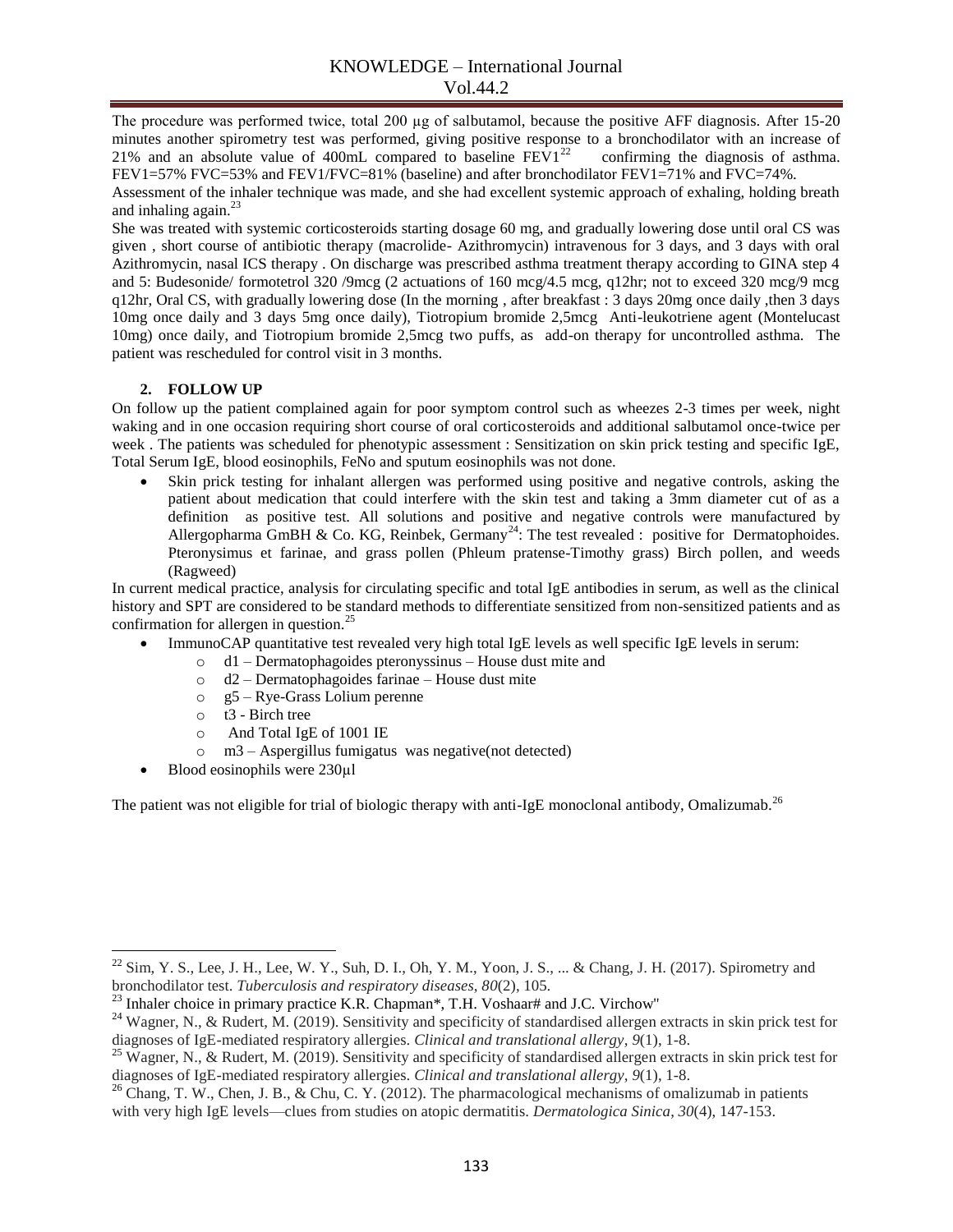The procedure was performed twice, total 200 µg of salbutamol, because the positive AFF diagnosis. After 15-20 minutes another spirometry test was performed, giving positive response to a bronchodilator with an increase of 21% and an absolute value of 400mL compared to baseline  $FEVI^{22}$  confirming the diagnosis of asthma. FEV1=57% FVC=53% and FEV1/FVC=81% (baseline) and after bronchodilator FEV1=71% and FVC=74%.

Assessment of the inhaler technique was made, and she had excellent systemic approach of exhaling, holding breath and inhaling again. $^{23}$ 

She was treated with systemic corticosteroids starting dosage 60 mg, and gradually lowering dose until oral CS was given , short course of antibiotic therapy (macrolide- Azithromycin) intravenous for 3 days, and 3 days with oral Azithromycin, nasal ICS therapy . On discharge was prescribed asthma treatment therapy according to GINA step 4 and 5: Budesonide/ formotetrol 320 /9mcg (2 actuations of 160 mcg/4.5 mcg, q12hr; not to exceed 320 mcg/9 mcg q12hr, Oral CS, with gradually lowering dose (In the morning , after breakfast : 3 days 20mg once daily ,then 3 days 10mg once daily and 3 days 5mg once daily), Tiotropium bromide 2,5mcg Anti-leukotriene agent (Montelucast 10mg) once daily, and Tiotropium bromide 2,5mcg two puffs, as add-on therapy for uncontrolled asthma. The patient was rescheduled for control visit in 3 months.

## **2. FOLLOW UP**

On follow up the patient complained again for poor symptom control such as wheezes 2-3 times per week, night waking and in one occasion requiring short course of oral corticosteroids and additional salbutamol once-twice per week . The patients was scheduled for phenotypic assessment : Sensitization on skin prick testing and specific IgE, Total Serum IgE, blood eosinophils, FeNo and sputum eosinophils was not done.

 Skin prick testing for inhalant allergen was performed using positive and negative controls, asking the patient about medication that could interfere with the skin test and taking a 3mm diameter cut of as a definition as positive test. All solutions and positive and negative controls were manufactured by Allergopharma GmBH & Co. KG, Reinbek, Germany<sup>24</sup>: The test revealed : positive for Dermatophoides. Pteronysimus et farinae, and grass pollen (Phleum pratense-Timothy grass) Birch pollen, and weeds (Ragweed)

In current medical practice, analysis for circulating specific and total IgE antibodies in serum, as well as the clinical history and SPT are considered to be standard methods to differentiate sensitized from non-sensitized patients and as confirmation for allergen in question.<sup>25</sup>

- ImmunoCAP quantitative test revealed very high total IgE levels as well specific IgE levels in serum:
	- o d1 Dermatophagoides pteronyssinus House dust mite and
	- o d2 Dermatophagoides farinae House dust mite
	- o g5 Rye-Grass Lolium perenne
	- $\circ$  t3 Birch tree
	- o And Total IgE of 1001 IE
	- o m3 Aspergillus fumigatus was negative(not detected)
- Blood eosinophils were 230µl

 $\overline{\phantom{a}}$ 

The patient was not eligible for trial of biologic therapy with anti-IgE monoclonal antibody, Omalizumab.<sup>26</sup>

 $^{22}$  Sim, Y. S., Lee, J. H., Lee, W. Y., Suh, D. I., Oh, Y. M., Yoon, J. S., ... & Chang, J. H. (2017). Spirometry and bronchodilator test. *Tuberculosis and respiratory diseases*, *80*(2), 105.

 $^{23}$  Inhaler choice in primary practice K.R. Chapman\*, T.H. Voshaar# and J.C. Virchow"

<sup>&</sup>lt;sup>24</sup> Wagner, N., & Rudert, M. (2019). Sensitivity and specificity of standardised allergen extracts in skin prick test for diagnoses of IgE-mediated respiratory allergies. *Clinical and translational allergy*, *9*(1), 1-8.

<sup>&</sup>lt;sup>25</sup> Wagner, N., & Rudert, M. (2019). Sensitivity and specificity of standardised allergen extracts in skin prick test for diagnoses of IgE-mediated respiratory allergies. *Clinical and translational allergy*, *9*(1), 1-8.

<sup>&</sup>lt;sup>26</sup> Chang, T. W., Chen, J. B.,  $\&$  Chu, C. Y. (2012). The pharmacological mechanisms of omalizumab in patients with very high IgE levels—clues from studies on atopic dermatitis. *Dermatologica Sinica*, *30*(4), 147-153.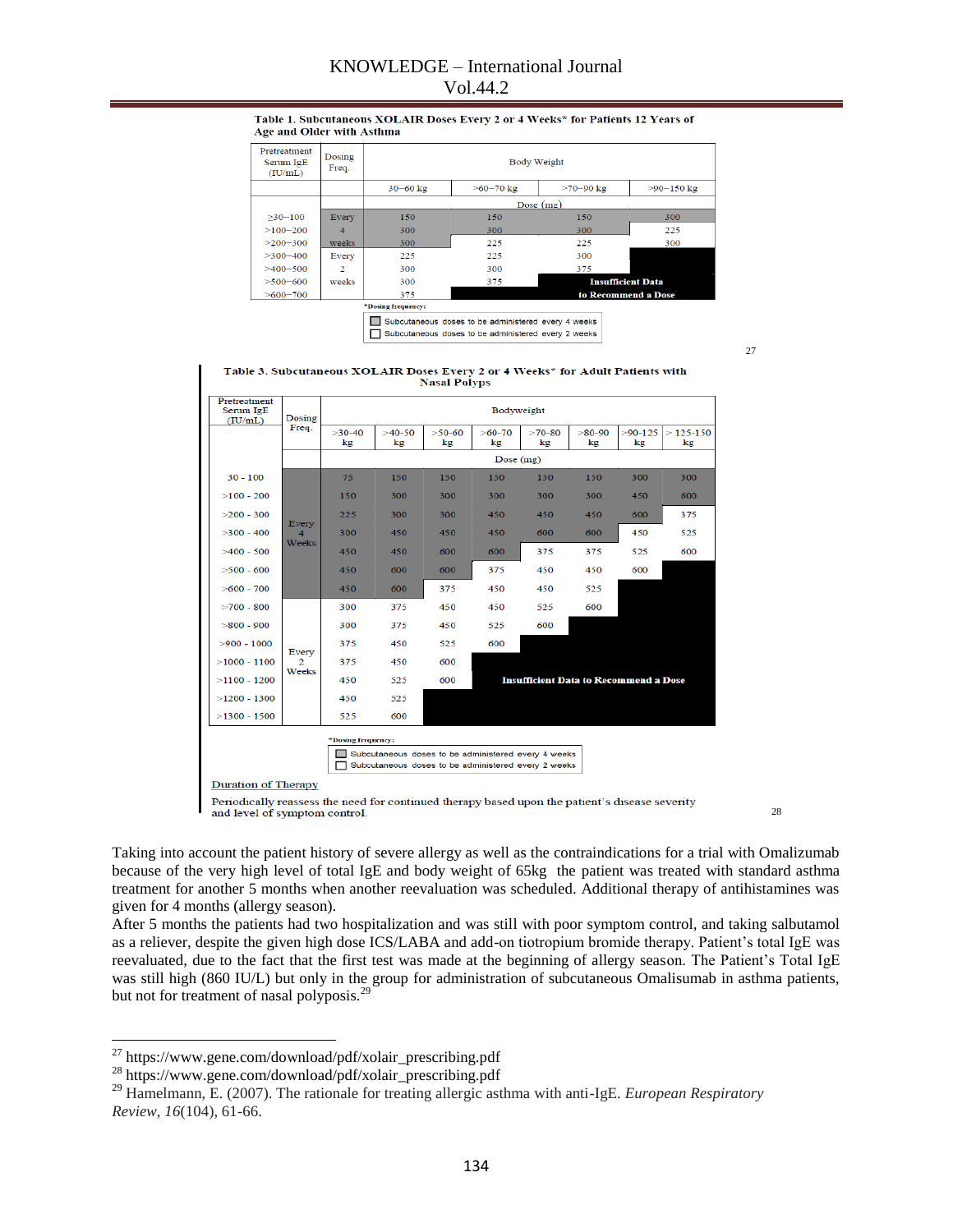## KNOWLEDGE – International Journal Vol.44.2

#### Table 1. Subcutaneous XOLAIR Doses Every 2 or 4 Weeks\* for Patients 12 Years of Age and Older with Asthma

| Pretreatment<br>Serum IgE<br>(IU/mL) | Dosing<br>Freq. | <b>Body Weight</b> |             |                     |                          |  |  |  |  |  |
|--------------------------------------|-----------------|--------------------|-------------|---------------------|--------------------------|--|--|--|--|--|
|                                      |                 | $30 - 60$ kg       | $>60-70$ kg | $>70-90$ kg         | $>90-150$ kg             |  |  |  |  |  |
|                                      |                 | Dose $(mg)$        |             |                     |                          |  |  |  |  |  |
| $>30-100$                            | Every           | 150                | 150         | 150                 | 300                      |  |  |  |  |  |
| $>100-200$                           | $\overline{4}$  | 300                | 300         | 300                 | 225                      |  |  |  |  |  |
| $>200-300$                           | weeks           | 300                | 225         | 225                 | 300                      |  |  |  |  |  |
| $>300-400$                           | Every           | 225                | 225         | 300                 |                          |  |  |  |  |  |
| $>400-500$                           | $\overline{2}$  | 300                | 300         | 375                 |                          |  |  |  |  |  |
| $>500 - 600$                         | weeks           | 300                | 375         |                     | <b>Insufficient Data</b> |  |  |  |  |  |
| $>600-700$                           |                 | 375                |             | to Recommend a Dose |                          |  |  |  |  |  |

Subcutaneous doses to be administered every 4 weeks

Subcutaneous doses to be administered every 2 weeks

27

Table 3. Subcutaneous XOLAIR Doses Every 2 or 4 Weeks\* for Adult Patients with **Nasal Polyps** 

| Pretreatment<br>Serum IgE<br>(IU/mL)                | Dosing<br>Freq.                 | Bodyweight     |                |                |                |                                              |                |                 |                  |  |  |
|-----------------------------------------------------|---------------------------------|----------------|----------------|----------------|----------------|----------------------------------------------|----------------|-----------------|------------------|--|--|
|                                                     |                                 | $>30-40$<br>kg | $>40-50$<br>kg | $>50-60$<br>kg | $>60-70$<br>kg | $>70-80$<br>kg                               | $>80-90$<br>kg | $>90-125$<br>kg | $>125-150$<br>kg |  |  |
|                                                     |                                 | Dose $(mg)$    |                |                |                |                                              |                |                 |                  |  |  |
| $30 - 100$                                          | Every<br>4<br>Weeks             | 75             | 150            | 150            | 150            | 150                                          | 150            | 300             | 300              |  |  |
| $>100 - 200$                                        |                                 | 150            | 300            | 300            | 300            | 300                                          | 300            | 450             | 600              |  |  |
| $>200 - 300$                                        |                                 | 225            | 300            | 300            | 450            | 450                                          | 450            | 600             | 375              |  |  |
| $>300 - 400$                                        |                                 | 300            | 450            | 450            | 450            | 600                                          | 600            | 450             | 525              |  |  |
| $>400 - 500$                                        |                                 | 450            | 450            | 600            | 600            | 375                                          | 375            | 525             | 600              |  |  |
| $>500 - 600$                                        |                                 | 450            | 600            | 600            | 375            | 450                                          | 450            | 600             |                  |  |  |
| $>600 - 700$                                        |                                 | 450            | 600            | 375            | 450            | 450                                          | 525            |                 |                  |  |  |
| $>700 - 800$                                        | Every<br>$\mathcal{D}$<br>Weeks | 300            | 375            | 450            | 450            | 525                                          | 600            |                 |                  |  |  |
| $>800 - 900$                                        |                                 | 300            | 375            | 450            | 525            | 600                                          |                |                 |                  |  |  |
| $>900 - 1000$                                       |                                 | 375            | 450            | 525            | 600            |                                              |                |                 |                  |  |  |
| $>1000 - 1100$                                      |                                 | 375            | 450            | 600            |                |                                              |                |                 |                  |  |  |
| $>1100 - 1200$                                      |                                 | 450            | 525            | 600            |                | <b>Insufficient Data to Recommend a Dose</b> |                |                 |                  |  |  |
| $>1200 - 1300$                                      |                                 | 450            | 525            |                |                |                                              |                |                 |                  |  |  |
| $>1300 - 1500$                                      |                                 | 525            | 600            |                |                |                                              |                |                 |                  |  |  |
| *Dosing frequency:                                  |                                 |                |                |                |                |                                              |                |                 |                  |  |  |
| Subcutaneous doses to be administered every 4 weeks |                                 |                |                |                |                |                                              |                |                 |                  |  |  |
| Subcutaneous doses to be administered every 2 weeks |                                 |                |                |                |                |                                              |                |                 |                  |  |  |
| <b>Duration of Therapy</b>                          |                                 |                |                |                |                |                                              |                |                 |                  |  |  |

Periodically reassess the need for continued therapy based upon the patient's disease severity and level of symptom control.

28

Taking into account the patient history of severe allergy as well as the contraindications for a trial with Omalizumab because of the very high level of total IgE and body weight of 65kg the patient was treated with standard asthma treatment for another 5 months when another reevaluation was scheduled. Additional therapy of antihistamines was given for 4 months (allergy season).

After 5 months the patients had two hospitalization and was still with poor symptom control, and taking salbutamol as a reliever, despite the given high dose ICS/LABA and add-on tiotropium bromide therapy. Patient's total IgE was reevaluated, due to the fact that the first test was made at the beginning of allergy season. The Patient's Total IgE was still high (860 IU/L) but only in the group for administration of subcutaneous Omalisumab in asthma patients, but not for treatment of nasal polyposis.<sup>2</sup>

 $\overline{\phantom{a}}$  $^{27}$  https://www.gene.com/download/pdf/xolair\_prescribing.pdf

<sup>&</sup>lt;sup>28</sup> https://www.gene.com/download/pdf/xolair\_prescribing.pdf

<sup>&</sup>lt;sup>29</sup> Hamelmann, E. (2007). The rationale for treating allergic asthma with anti-IgE. *European Respiratory Review*, *16*(104), 61-66.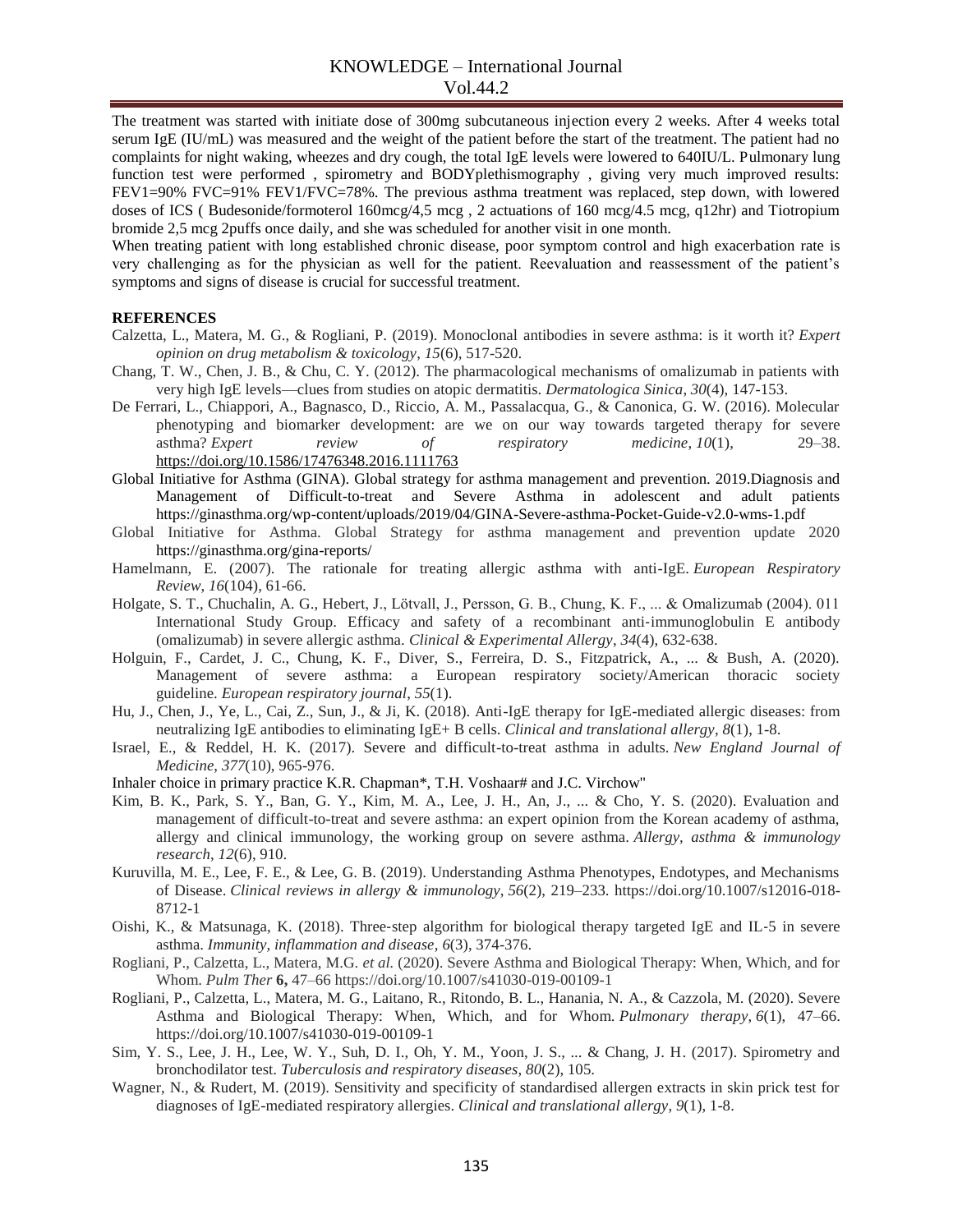The treatment was started with initiate dose of 300mg subcutaneous injection every 2 weeks. After 4 weeks total serum IgE (IU/mL) was measured and the weight of the patient before the start of the treatment. The patient had no complaints for night waking, wheezes and dry cough, the total IgE levels were lowered to 640IU/L. Pulmonary lung function test were performed , spirometry and BODYplethismography , giving very much improved results: FEV1=90% FVC=91% FEV1/FVC=78%. The previous asthma treatment was replaced, step down, with lowered doses of ICS ( Budesonide/formoterol 160mcg/4,5 mcg , 2 actuations of 160 mcg/4.5 mcg, q12hr) and Tiotropium bromide 2,5 mcg 2puffs once daily, and she was scheduled for another visit in one month.

When treating patient with long established chronic disease, poor symptom control and high exacerbation rate is very challenging as for the physician as well for the patient. Reevaluation and reassessment of the patient's symptoms and signs of disease is crucial for successful treatment.

### **REFERENCES**

- Calzetta, L., Matera, M. G., & Rogliani, P. (2019). Monoclonal antibodies in severe asthma: is it worth it? *Expert opinion on drug metabolism & toxicology*, *15*(6), 517-520.
- Chang, T. W., Chen, J. B., & Chu, C. Y. (2012). The pharmacological mechanisms of omalizumab in patients with very high IgE levels—clues from studies on atopic dermatitis. *Dermatologica Sinica*, *30*(4), 147-153.
- De Ferrari, L., Chiappori, A., Bagnasco, D., Riccio, A. M., Passalacqua, G., & Canonica, G. W. (2016). Molecular phenotyping and biomarker development: are we on our way towards targeted therapy for severe asthma? *Expert review of respiratory medicine*, *10*(1), 29–38. <https://doi.org/10.1586/17476348.2016.1111763>
- Global Initiative for Asthma (GINA). Global strategy for asthma management and prevention. 2019.Diagnosis and Management of Difficult-to-treat and Severe Asthma in adolescent and adult patients https://ginasthma.org/wp-content/uploads/2019/04/GINA-Severe-asthma-Pocket-Guide-v2.0-wms-1.pdf
- Global Initiative for Asthma. Global Strategy for asthma management and prevention update 2020 https://ginasthma.org/gina-reports/
- Hamelmann, E. (2007). The rationale for treating allergic asthma with anti-IgE. *European Respiratory Review*, *16*(104), 61-66.
- Holgate, S. T., Chuchalin, A. G., Hebert, J., Lötvall, J., Persson, G. B., Chung, K. F., ... & Omalizumab (2004). 011 International Study Group. Efficacy and safety of a recombinant anti-immunoglobulin E antibody (omalizumab) in severe allergic asthma. *Clinical & Experimental Allergy*, *34*(4), 632-638.
- Holguin, F., Cardet, J. C., Chung, K. F., Diver, S., Ferreira, D. S., Fitzpatrick, A., ... & Bush, A. (2020). Management of severe asthma: a European respiratory society/American thoracic society guideline. *European respiratory journal*, *55*(1).
- Hu, J., Chen, J., Ye, L., Cai, Z., Sun, J., & Ji, K. (2018). Anti-IgE therapy for IgE-mediated allergic diseases: from neutralizing IgE antibodies to eliminating IgE+ B cells. *Clinical and translational allergy*, *8*(1), 1-8.
- Israel, E., & Reddel, H. K. (2017). Severe and difficult-to-treat asthma in adults. *New England Journal of Medicine*, *377*(10), 965-976.
- Inhaler choice in primary practice K.R. Chapman\*, T.H. Voshaar# and J.C. Virchow"
- Kim, B. K., Park, S. Y., Ban, G. Y., Kim, M. A., Lee, J. H., An, J., ... & Cho, Y. S. (2020). Evaluation and management of difficult-to-treat and severe asthma: an expert opinion from the Korean academy of asthma, allergy and clinical immunology, the working group on severe asthma. *Allergy, asthma & immunology research*, *12*(6), 910.
- Kuruvilla, M. E., Lee, F. E., & Lee, G. B. (2019). Understanding Asthma Phenotypes, Endotypes, and Mechanisms of Disease. *Clinical reviews in allergy & immunology*, *56*(2), 219–233. https://doi.org/10.1007/s12016-018- 8712-1
- Oishi, K., & Matsunaga, K. (2018). Three‐step algorithm for biological therapy targeted IgE and IL‐5 in severe asthma. *Immunity, inflammation and disease*, *6*(3), 374-376.
- Rogliani, P., Calzetta, L., Matera, M.G. *et al.* (2020). Severe Asthma and Biological Therapy: When, Which, and for Whom. *Pulm Ther* **6,** 47–66 https://doi.org/10.1007/s41030-019-00109-1
- Rogliani, P., Calzetta, L., Matera, M. G., Laitano, R., Ritondo, B. L., Hanania, N. A., & Cazzola, M. (2020). Severe Asthma and Biological Therapy: When, Which, and for Whom. *Pulmonary therapy*, *6*(1), 47–66. https://doi.org/10.1007/s41030-019-00109-1
- Sim, Y. S., Lee, J. H., Lee, W. Y., Suh, D. I., Oh, Y. M., Yoon, J. S., ... & Chang, J. H. (2017). Spirometry and bronchodilator test. *Tuberculosis and respiratory diseases*, *80*(2), 105.
- Wagner, N., & Rudert, M. (2019). Sensitivity and specificity of standardised allergen extracts in skin prick test for diagnoses of IgE-mediated respiratory allergies. *Clinical and translational allergy*, *9*(1), 1-8.